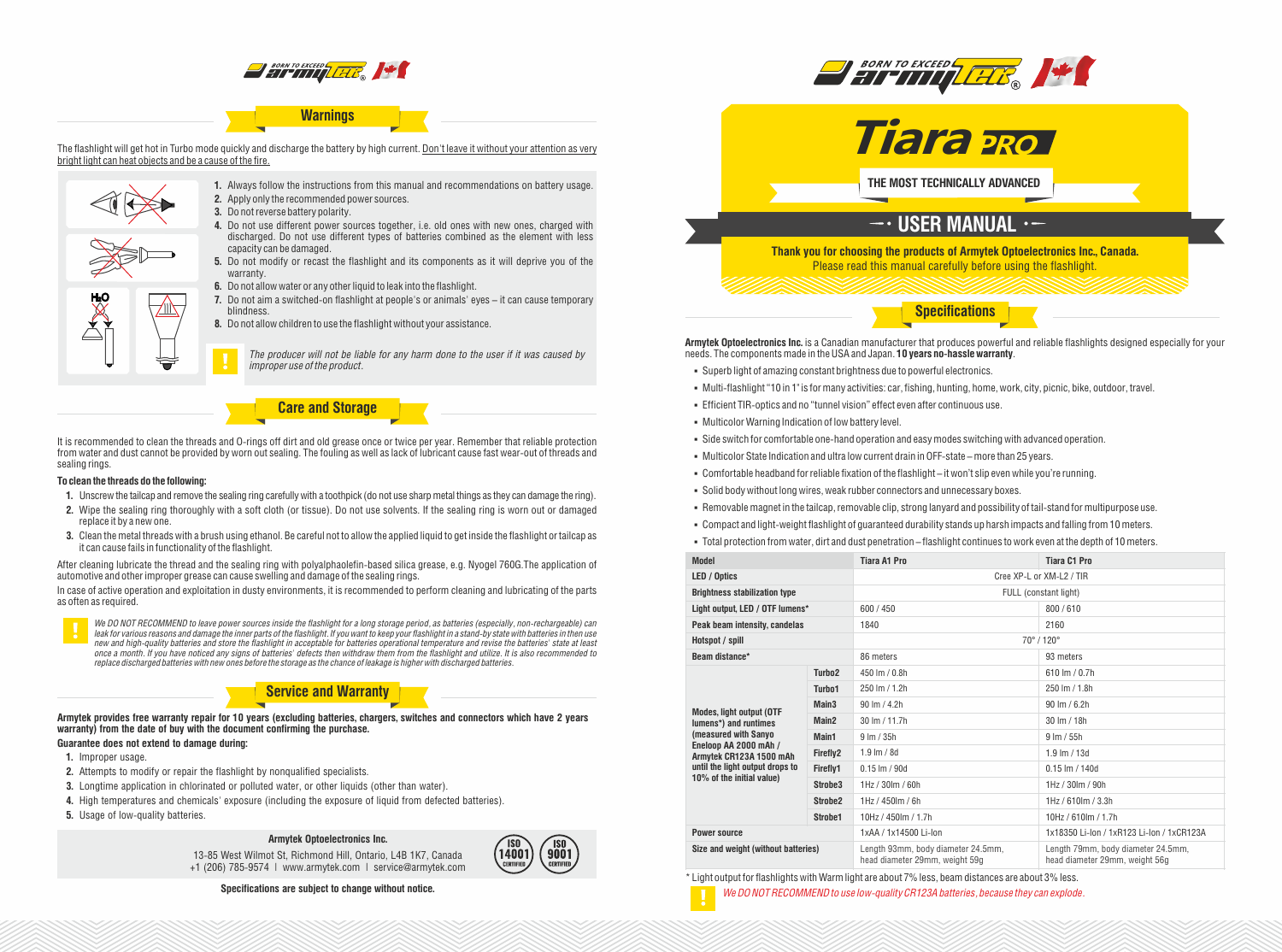

# **Warnings**

The flashlight will get hot in Turbo mode quickly and discharge the battery by high current. Don't leave it without your attention as very bright light can heat objects and be a cause of the fire.



**1.** Always follow the instructions from this manual and recommendations on battery usage. **2.** Apply only the recommended power sources.

- **3.** Do not reverse battery polarity.
- **4.** Do not use different power sources together, i.e. old ones with new ones, charged with discharged. Do not use different types of batteries combined as the element with less capacity can be damaged.
- **5.** Do not modify or recast the flashlight and its components as it will deprive you of the warranty.
- **6.** Do not allow water or any other liquid to leak into the flashlight.
- **7.** Do not aim a switched-on flashlight at people's or animals' eyes it can cause temporary blindness.
	- **8.** Do not allow children to use the flashlight without your assistance.

*The producer will not be liable for any harm done to the user if it was caused by improper use of the product.*

**Care and Storage**

It is recommended to clean the threads and O-rings off dirt and old grease once or twice per year. Remember that reliable protection from water and dust cannot be provided by worn out sealing. The fouling as well as lack of lubricant cause fast wear-out of threads and sealing rings.

#### **To clean the threads do the following:**

- **1.** Unscrew the tailcap and remove the sealing ring carefully with a toothpick (do not use sharp metal things as they can damage the ring).
- **2.** Wipe the sealing ring thoroughly with a soft cloth (or tissue). Do not use solvents. If the sealing ring is worn out or damaged replace it by a new one.
- **3.** Clean the metal threads with a brush using ethanol. Be careful not to allow the applied liquid to get inside the flashlight or tailcap as it can cause fails in functionality of the flashlight.

After cleaning lubricate the thread and the sealing ring with polyalphaolefin-based silica grease, e.g. Nyogel 760G.The application of automotive and other improper grease can cause swelling and damage of the sealing rings.

In case of active operation and exploitation in dusty environments, it is recommended to perform cleaning and lubricating of the parts as often as required.



**Service and Warranty**

**Armytek provides free warranty repair for 10 years (excluding batteries, chargers, switches and connectors which have 2 years warranty) from the date of buy with the document confirming the purchase.**

# **Guarantee does not extend to damage during:**

- **1.** Improper usage.
- **2.** Attempts to modify or repair the flashlight by nonqualified specialists.
- **3.** Longtime application in chlorinated or polluted water, or other liquids (other than water).
- **4.** High temperatures and chemicals' exposure (including the exposure of liquid from defected batteries).
- **5.** Usage of low-quality batteries.

#### **Armytek Optoelectronics Inc.**

13-85 West Wilmot St, Richmond Hill, Ontario, L4B 1K7, Canada +1 (206) 785-9574 | www.armytek.com | service@armytek.com



**Specifications are subject to change without notice.**





**THE MOST TECHNICALLY ADVANCED**

# $\overline{\phantom{a}}$  USER MANUAL  $\cdot$  –

**Thank you for choosing the products of Armytek Optoelectronics Inc., Canada.** Please read this manual carefully before using the flashlight.

**Specifications**

**Armytek Optoelectronics Inc.** is a Canadian manufacturer that produces powerful and reliable flashlights designed especially for your needs. The components made in the USA and Japan. **10 years no-hassle warranty**.

- § Superb light of amazing constant brightness due to powerful electronics.
- § Multi-flashlight "10 in 1" is for many activities: car, fishing, hunting, home, work, city, picnic, bike, outdoor, travel.
- § Efficient TIR-optics and no "tunnel vision" effect even after continuous use.
- § Multicolor Warning Indication of low battery level.
- § Side switch for comfortable one-hand operation and easy modes switching with advanced operation.
- § Multicolor State Indication and ultra low current drain in OFF-state –more than 25 years.
- § Comfortable headband for reliable fixation of the flashlight it won't slip even while you're running.
- § Solid body without long wires, weak rubber connectors and unnecessary boxes.
- § Removable magnet in the tailcap, removable clip, strong lanyard and possibility of tail-stand for multipurpose use.
- § Compact and light-weight flashlight of guaranteed durability stands up harsh impacts and falling from 10 meters.
- § Total protection from water, dirt and dust penetration flashlight continues to work even at the depth of 10 meters.

| <b>Model</b>                                                                                                                                                      |                     | Tiara A1 Pro                                                         | Tiara C1 Pro                                                         |  |
|-------------------------------------------------------------------------------------------------------------------------------------------------------------------|---------------------|----------------------------------------------------------------------|----------------------------------------------------------------------|--|
| LED / Optics                                                                                                                                                      |                     | Cree XP-L or XM-L2 / TIR                                             |                                                                      |  |
| <b>Brightness stabilization type</b>                                                                                                                              |                     | FULL (constant light)                                                |                                                                      |  |
| Light output, LED / OTF lumens*                                                                                                                                   |                     | 600 / 450                                                            | 800/610                                                              |  |
| Peak beam intensity, candelas                                                                                                                                     |                     | 1840                                                                 | 2160                                                                 |  |
| Hotspot / spill                                                                                                                                                   |                     | $70^{\circ}$ / 120 $^{\circ}$                                        |                                                                      |  |
| Beam distance*                                                                                                                                                    |                     | 86 meters                                                            | 93 meters                                                            |  |
|                                                                                                                                                                   | Turbo <sub>2</sub>  | 450 lm / 0.8h                                                        | 610 lm / 0.7h                                                        |  |
|                                                                                                                                                                   | Turbo <sub>1</sub>  | 250 lm / 1.2h                                                        | 250 lm / 1.8h                                                        |  |
| <b>Modes, light output (OTF</b>                                                                                                                                   | Main <sub>3</sub>   | $90 \,$ lm $/ 4.2h$<br>$90 \,$ lm / 6.2h                             |                                                                      |  |
| lumens*) and runtimes<br>(measured with Sanyo<br>Eneloop AA 2000 mAh /<br>Armytek CR123A 1500 mAh<br>until the light output drops to<br>10% of the initial value) | Main <sub>2</sub>   | 30 lm / 11.7h                                                        | 30 lm / 18h                                                          |  |
|                                                                                                                                                                   | Main1               | 9 lm / 35h                                                           | $9 \, \text{Im} / 55h$                                               |  |
|                                                                                                                                                                   | Firefly2            | $1.9$ lm $/$ 8d                                                      | $1.9 \text{ Im} / 13d$                                               |  |
|                                                                                                                                                                   | Firefly1            | $0.15$ lm $/$ 90d                                                    | $0.15$ lm $/ 140d$                                                   |  |
|                                                                                                                                                                   | Strobe <sub>3</sub> | $1Hz / 30$ m / 60h                                                   | $1Hz / 30$ m $/ 90h$                                                 |  |
|                                                                                                                                                                   | Strobe <sub>2</sub> | $1Hz/450$ lm / 6h                                                    | $1Hz/610$ lm / 3.3h                                                  |  |
|                                                                                                                                                                   | Strobe1             | 10Hz / 450lm / 1.7h                                                  | 10Hz / 610lm / 1.7h                                                  |  |
| <b>Power source</b>                                                                                                                                               |                     | 1xAA / 1x14500 Li-lon                                                | 1x18350 Li-Ion / 1xR123 Li-Ion / 1xCR123A                            |  |
| Size and weight (without batteries)                                                                                                                               |                     | Length 93mm, body diameter 24.5mm,<br>head diameter 29mm, weight 59g | Length 79mm, body diameter 24.5mm,<br>head diameter 29mm, weight 56g |  |

\* Light output for flashlights with Warm light are about 7% less, beam distances are about 3% less.

*We DO NOT RECOMMEND to use low-quality CR123A batteries, because they can explode.*